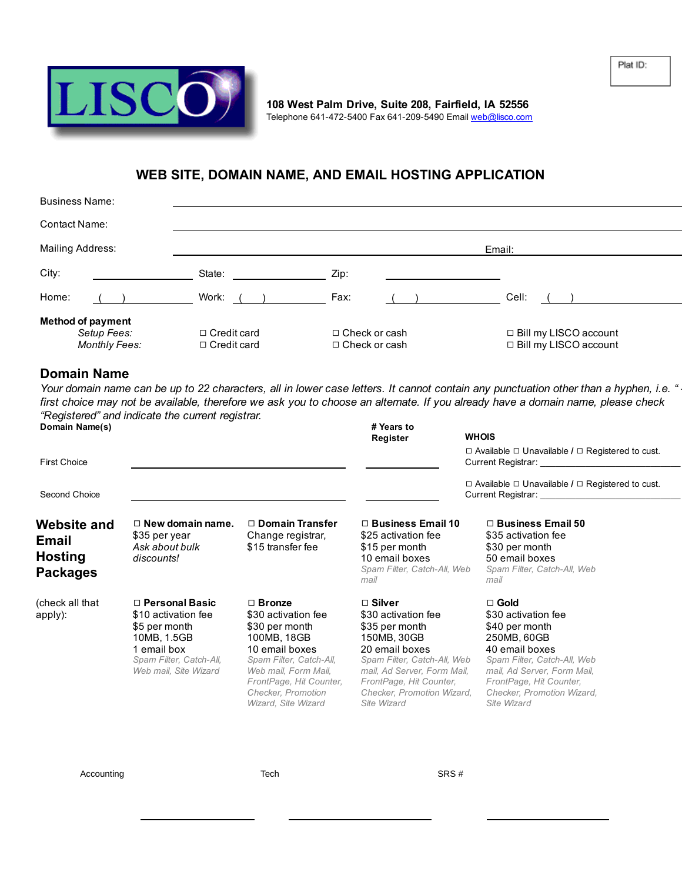



108 West Palm Drive, Suite 208, Fairfield, IA 52556 Telephone 641-472-5400 Fax 641-209-5490 Email [web@lisco.com](mailto:dns@lisco.com)

## WEB SITE, DOMAIN NAME, AND EMAIL HOSTING APPLICATION

| <b>Business Name:</b>                                    |                                          |                                              |                                                    |  |  |
|----------------------------------------------------------|------------------------------------------|----------------------------------------------|----------------------------------------------------|--|--|
| Contact Name:                                            |                                          |                                              |                                                    |  |  |
| Mailing Address:                                         | Email:                                   |                                              |                                                    |  |  |
| City:                                                    | State:                                   | Zip:                                         |                                                    |  |  |
| Home:                                                    | Work:                                    | Fax:                                         | Cell:                                              |  |  |
| <b>Method of payment</b><br>Setup Fees:<br>Monthly Fees: | $\Box$ Credit card<br>$\Box$ Credit card | $\Box$ Check or cash<br>$\Box$ Check or cash | □ Bill my LISCO account<br>□ Bill my LISCO account |  |  |

## Domain Name

Your domain name can be up to 22 characters, all in lower case letters. It cannot contain any punctuation other than a hyphen, i.e. " first choice may not be available, therefore we ask you to choose an alternate. If you already have a domain name, please check *"Registered" and indicate the current registrar.*

| Domain Name(s)<br><b>First Choice</b>                                   |                                                                                                                                                 |                                                                                                                                                                                                                    | # Years to<br>Register                                                                                                                                                                                                        | <b>WHOIS</b><br>$\Box$ Available $\Box$ Unavailable / $\Box$ Registered to cust.<br>Current Registrar: Current Registrar:                                                                                                   |
|-------------------------------------------------------------------------|-------------------------------------------------------------------------------------------------------------------------------------------------|--------------------------------------------------------------------------------------------------------------------------------------------------------------------------------------------------------------------|-------------------------------------------------------------------------------------------------------------------------------------------------------------------------------------------------------------------------------|-----------------------------------------------------------------------------------------------------------------------------------------------------------------------------------------------------------------------------|
| Second Choice                                                           |                                                                                                                                                 |                                                                                                                                                                                                                    |                                                                                                                                                                                                                               | $\Box$ Available $\Box$ Unavailable / $\Box$ Registered to cust.<br>Current Registrar: Current Registrar:                                                                                                                   |
| <b>Website and</b><br><b>Email</b><br><b>Hosting</b><br><b>Packages</b> | $\Box$ New domain name.<br>\$35 per year<br>Ask about bulk<br>discounts!                                                                        | $\Box$ Domain Transfer<br>Change registrar,<br>\$15 transfer fee                                                                                                                                                   | $\Box$ Business Email 10<br>\$25 activation fee<br>\$15 per month<br>10 email boxes<br>Spam Filter, Catch-All, Web<br>mail                                                                                                    | $\Box$ Business Email 50<br>\$35 activation fee<br>\$30 per month<br>50 email boxes<br>Spam Filter, Catch-All, Web<br>mail                                                                                                  |
| (check all that<br>apply):                                              | $\Box$ Personal Basic<br>\$10 activation fee<br>\$5 per month<br>10MB, 1.5GB<br>1 email box<br>Spam Filter, Catch-All,<br>Web mail, Site Wizard | $\Box$ Bronze<br>\$30 activation fee<br>\$30 per month<br>100MB, 18GB<br>10 email boxes<br>Spam Filter, Catch-All,<br>Web mail, Form Mail,<br>FrontPage, Hit Counter,<br>Checker, Promotion<br>Wizard, Site Wizard | $\Box$ Silver<br>\$30 activation fee<br>\$35 per month<br>150MB, 30GB<br>20 email boxes<br>Spam Filter, Catch-All, Web<br>mail, Ad Server, Form Mail,<br>FrontPage, Hit Counter,<br>Checker, Promotion Wizard,<br>Site Wizard | $\Box$ Gold<br>\$30 activation fee<br>\$40 per month<br>250MB, 60GB<br>40 email boxes<br>Spam Filter, Catch-All, Web<br>mail, Ad Server, Form Mail,<br>FrontPage, Hit Counter,<br>Checker, Promotion Wizard,<br>Site Wizard |

Accounting Tech SRS #